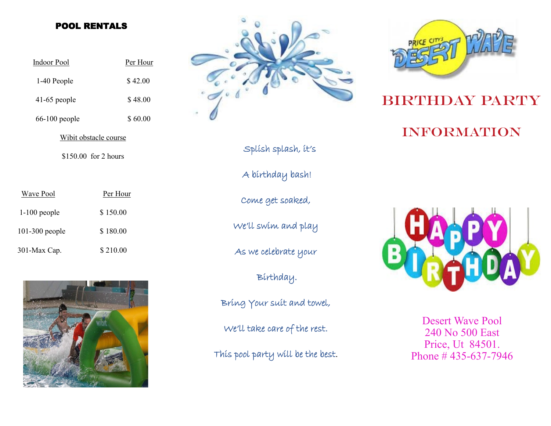#### POOL RENTALS

| <b>Indoor Pool</b>    | Per Hour |
|-----------------------|----------|
| 1-40 People           | \$42.00  |
| $41-65$ people        | \$48.00  |
| $66-100$ people       | \$60.00  |
| Wibit obstacle course |          |
| \$150.00 for 2 hours  |          |

| Wave Pool        | Per Hour |
|------------------|----------|
| $1-100$ people   | \$150.00 |
| $101-300$ people | \$180.00 |
| 301-Max Cap.     | \$210.00 |





Splish splash, it's

A birthday bash!

Come get soaked,

We'll swim and play

As we celebrate your

Birthday.

Bring Your suit and towel,

We'll take care of the rest.

This pool party will be the best.



# BIRTHDAY PARTY

### **INFORMATION**



Desert Wave Pool 240 No 500 East Price, Ut 84501. Phone # 435-637-7946